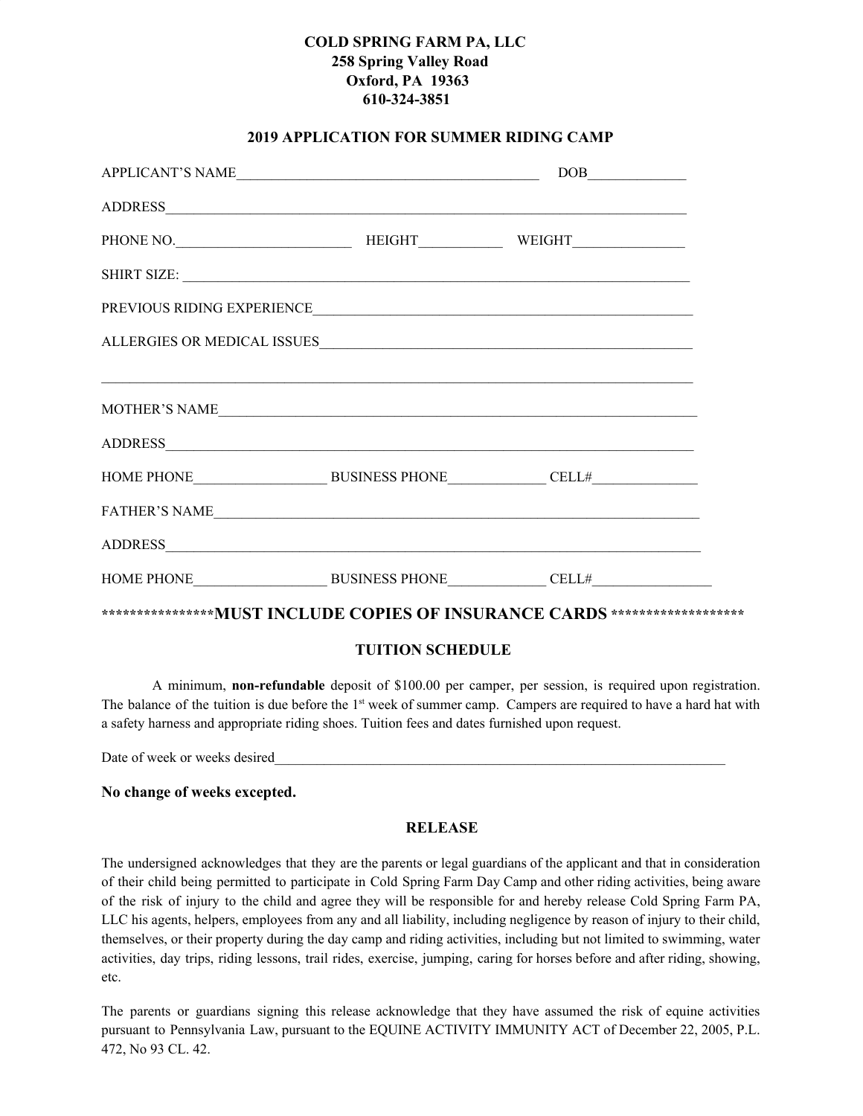# **COLD SPRING FARM PA, LLC 258 Spring Valley Road Oxford, PA 19363 610-324-3851**

## **2019 APPLICATION FOR SUMMER RIDING CAMP**

| MOTHER'S NAME                                                                 |  |  |
|-------------------------------------------------------------------------------|--|--|
|                                                                               |  |  |
| HOME PHONE BUSINESS PHONE CELL#                                               |  |  |
|                                                                               |  |  |
|                                                                               |  |  |
|                                                                               |  |  |
| *****************MUST INCLUDE COPIES OF INSURANCE CARDS ********************* |  |  |

## **TUITION SCHEDULE**

A minimum, **non-refundable** deposit of \$100.00 per camper, per session, is required upon registration. The balance of the tuition is due before the  $1<sup>st</sup>$  week of summer camp. Campers are required to have a hard hat with a safety harness and appropriate riding shoes. Tuition fees and dates furnished upon request.

Date of week or weeks desired

#### **No change of weeks excepted.**

#### **RELEASE**

The undersigned acknowledges that they are the parents or legal guardians of the applicant and that in consideration of their child being permitted to participate in Cold Spring Farm Day Camp and other riding activities, being aware of the risk of injury to the child and agree they will be responsible for and hereby release Cold Spring Farm PA, LLC his agents, helpers, employees from any and all liability, including negligence by reason of injury to their child, themselves, or their property during the day camp and riding activities, including but not limited to swimming, water activities, day trips, riding lessons, trail rides, exercise, jumping, caring for horses before and after riding, showing, etc.

The parents or guardians signing this release acknowledge that they have assumed the risk of equine activities pursuant to Pennsylvania Law, pursuant to the EQUINE ACTIVITY IMMUNITY ACT of December 22, 2005, P.L. 472, No 93 CL. 42.